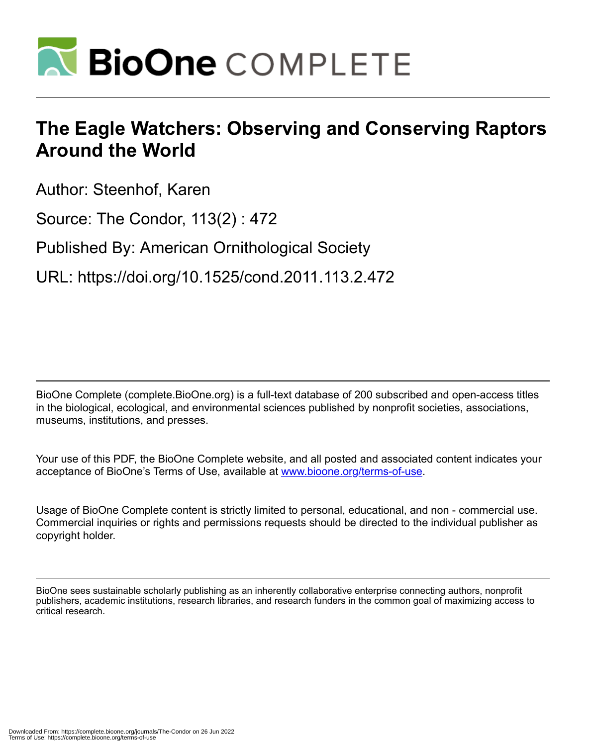

## **The Eagle Watchers: Observing and Conserving Raptors Around the World**

Author: Steenhof, Karen

Source: The Condor, 113(2) : 472

Published By: American Ornithological Society

URL: https://doi.org/10.1525/cond.2011.113.2.472

BioOne Complete (complete.BioOne.org) is a full-text database of 200 subscribed and open-access titles in the biological, ecological, and environmental sciences published by nonprofit societies, associations, museums, institutions, and presses.

Your use of this PDF, the BioOne Complete website, and all posted and associated content indicates your acceptance of BioOne's Terms of Use, available at www.bioone.org/terms-of-use.

Usage of BioOne Complete content is strictly limited to personal, educational, and non - commercial use. Commercial inquiries or rights and permissions requests should be directed to the individual publisher as copyright holder.

BioOne sees sustainable scholarly publishing as an inherently collaborative enterprise connecting authors, nonprofit publishers, academic institutions, research libraries, and research funders in the common goal of maximizing access to critical research.